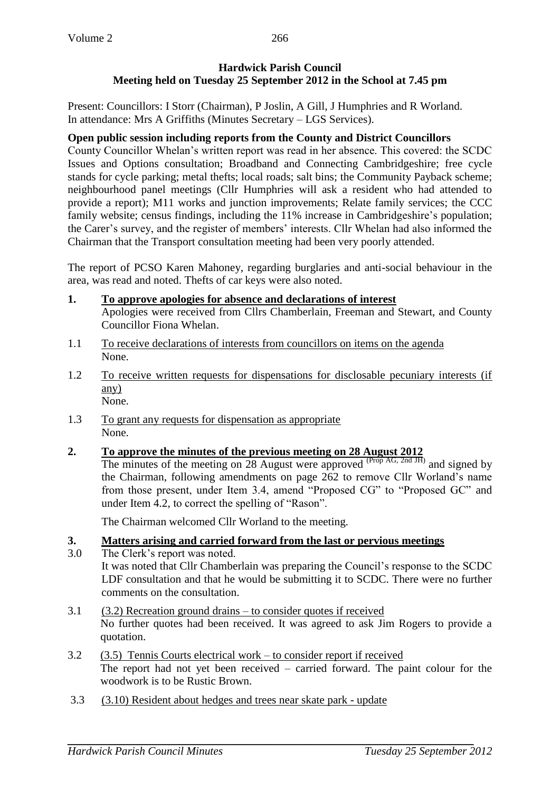# **Hardwick Parish Council Meeting held on Tuesday 25 September 2012 in the School at 7.45 pm**

Present: Councillors: I Storr (Chairman), P Joslin, A Gill, J Humphries and R Worland. In attendance: Mrs A Griffiths (Minutes Secretary – LGS Services).

# **Open public session including reports from the County and District Councillors**

County Councillor Whelan's written report was read in her absence. This covered: the SCDC Issues and Options consultation; Broadband and Connecting Cambridgeshire; free cycle stands for cycle parking; metal thefts; local roads; salt bins; the Community Payback scheme; neighbourhood panel meetings (Cllr Humphries will ask a resident who had attended to provide a report); M11 works and junction improvements; Relate family services; the CCC family website; census findings, including the 11% increase in Cambridgeshire's population; the Carer's survey, and the register of members' interests. Cllr Whelan had also informed the Chairman that the Transport consultation meeting had been very poorly attended.

The report of PCSO Karen Mahoney, regarding burglaries and anti-social behaviour in the area, was read and noted. Thefts of car keys were also noted.

- **1. To approve apologies for absence and declarations of interest** Apologies were received from Cllrs Chamberlain, Freeman and Stewart, and County Councillor Fiona Whelan.
- 1.1 To receive declarations of interests from councillors on items on the agenda None.
- 1.2 To receive written requests for dispensations for disclosable pecuniary interests (if any) None.
- 1.3 To grant any requests for dispensation as appropriate None.

# **2. To approve the minutes of the previous meeting on 28 August 2012**

The minutes of the meeting on 28 August were approved  $(\text{Prop AG}, \text{2nd JH})$  and signed by the Chairman, following amendments on page 262 to remove Cllr Worland's name from those present, under Item 3.4, amend "Proposed CG" to "Proposed GC" and under Item 4.2, to correct the spelling of "Rason".

The Chairman welcomed Cllr Worland to the meeting.

# **3. Matters arising and carried forward from the last or pervious meetings**

- 3.0 The Clerk's report was noted. It was noted that Cllr Chamberlain was preparing the Council's response to the SCDC LDF consultation and that he would be submitting it to SCDC. There were no further comments on the consultation.
- 3.1 (3.2) Recreation ground drains to consider quotes if received No further quotes had been received. It was agreed to ask Jim Rogers to provide a quotation.
- 3.2 (3.5) Tennis Courts electrical work to consider report if received The report had not yet been received – carried forward. The paint colour for the woodwork is to be Rustic Brown.
- 3.3 (3.10) Resident about hedges and trees near skate park update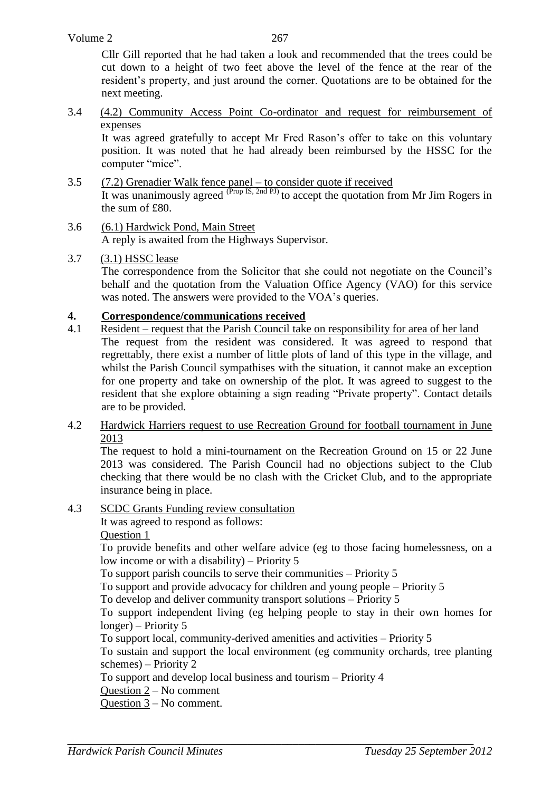Cllr Gill reported that he had taken a look and recommended that the trees could be cut down to a height of two feet above the level of the fence at the rear of the resident's property, and just around the corner. Quotations are to be obtained for the next meeting.

3.4 (4.2) Community Access Point Co-ordinator and request for reimbursement of expenses

It was agreed gratefully to accept Mr Fred Rason's offer to take on this voluntary position. It was noted that he had already been reimbursed by the HSSC for the computer "mice".

- 3.5 (7.2) Grenadier Walk fence panel to consider quote if received It was unanimously agreed  $^{(Prop\,IS,\,2nd\,PJ)}$  to accept the quotation from Mr Jim Rogers in the sum of £80.
- 3.6 (6.1) Hardwick Pond, Main Street A reply is awaited from the Highways Supervisor.
- 3.7 (3.1) HSSC lease

The correspondence from the Solicitor that she could not negotiate on the Council's behalf and the quotation from the Valuation Office Agency (VAO) for this service was noted. The answers were provided to the VOA's queries.

## **4. Correspondence/communications received**

- 4.1 Resident request that the Parish Council take on responsibility for area of her land The request from the resident was considered. It was agreed to respond that regrettably, there exist a number of little plots of land of this type in the village, and whilst the Parish Council sympathises with the situation, it cannot make an exception for one property and take on ownership of the plot. It was agreed to suggest to the resident that she explore obtaining a sign reading "Private property". Contact details are to be provided.
- 4.2 Hardwick Harriers request to use Recreation Ground for football tournament in June 2013

The request to hold a mini-tournament on the Recreation Ground on 15 or 22 June 2013 was considered. The Parish Council had no objections subject to the Club checking that there would be no clash with the Cricket Club, and to the appropriate insurance being in place.

4.3 SCDC Grants Funding review consultation

It was agreed to respond as follows:

Question 1

To provide benefits and other welfare advice (eg to those facing homelessness, on a low income or with a disability) – Priority 5

To support parish councils to serve their communities – Priority 5

To support and provide advocacy for children and young people – Priority 5

To develop and deliver community transport solutions – Priority 5

To support independent living (eg helping people to stay in their own homes for longer) – Priority 5

To support local, community-derived amenities and activities – Priority 5

To sustain and support the local environment (eg community orchards, tree planting schemes) – Priority 2

To support and develop local business and tourism – Priority 4

Question 2 – No comment

Question 3 – No comment.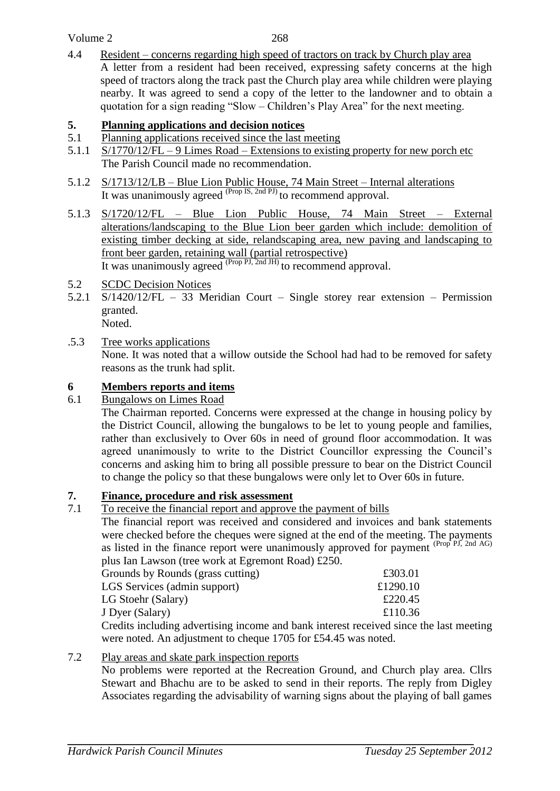## Volume 2

268

4.4 Resident – concerns regarding high speed of tractors on track by Church play area A letter from a resident had been received, expressing safety concerns at the high speed of tractors along the track past the Church play area while children were playing nearby. It was agreed to send a copy of the letter to the landowner and to obtain a quotation for a sign reading "Slow – Children's Play Area" for the next meeting.

## **5. Planning applications and decision notices**

- 5.1 Planning applications received since the last meeting
- 5.1.1 S/1770/12/FL 9 Limes Road Extensions to existing property for new porch etc The Parish Council made no recommendation.
- 5.1.2 S/1713/12/LB Blue Lion Public House, 74 Main Street Internal alterations It was unanimously agreed  $^{(Prop\,IS,\,2nd\,PI)}$  to recommend approval.
- 5.1.3 S/1720/12/FL Blue Lion Public House, 74 Main Street External alterations/landscaping to the Blue Lion beer garden which include: demolition of existing timber decking at side, relandscaping area, new paving and landscaping to front beer garden, retaining wall (partial retrospective) It was unanimously agreed <sup>(Prop PJ, 2nd JH)</sup> to recommend approval.
- 5.2 SCDC Decision Notices
- 5.2.1 S/1420/12/FL 33 Meridian Court Single storey rear extension Permission granted.

Noted.

.5.3 Tree works applications

None. It was noted that a willow outside the School had had to be removed for safety reasons as the trunk had split.

# **6 Members reports and items**<br>**6.1 Bungalows on Limes Road**

Bungalows on Limes Road

The Chairman reported. Concerns were expressed at the change in housing policy by the District Council, allowing the bungalows to be let to young people and families, rather than exclusively to Over 60s in need of ground floor accommodation. It was agreed unanimously to write to the District Councillor expressing the Council's concerns and asking him to bring all possible pressure to bear on the District Council to change the policy so that these bungalows were only let to Over 60s in future.

# **7. Finance, procedure and risk assessment**

7.1 To receive the financial report and approve the payment of bills

The financial report was received and considered and invoices and bank statements were checked before the cheques were signed at the end of the meeting. The payments as listed in the finance report were unanimously approved for payment  $P_{\text{top}}$   $P_{\text{PI}}$ ,  $P_{\text{I}}$ ,  $P_{\text{I}}$  and  $P_{\text{GI}}$ plus Ian Lawson (tree work at Egremont Road) £250.

| Grounds by Rounds (grass cutting) | £303.01  |
|-----------------------------------|----------|
| LGS Services (admin support)      | £1290.10 |
| LG Stoehr (Salary)                | £220.45  |
| J Dyer (Salary)                   | £110.36  |
|                                   |          |

Credits including advertising income and bank interest received since the last meeting were noted. An adjustment to cheque 1705 for £54.45 was noted.

# 7.2 Play areas and skate park inspection reports

No problems were reported at the Recreation Ground, and Church play area. Cllrs Stewart and Bhachu are to be asked to send in their reports. The reply from Digley Associates regarding the advisability of warning signs about the playing of ball games